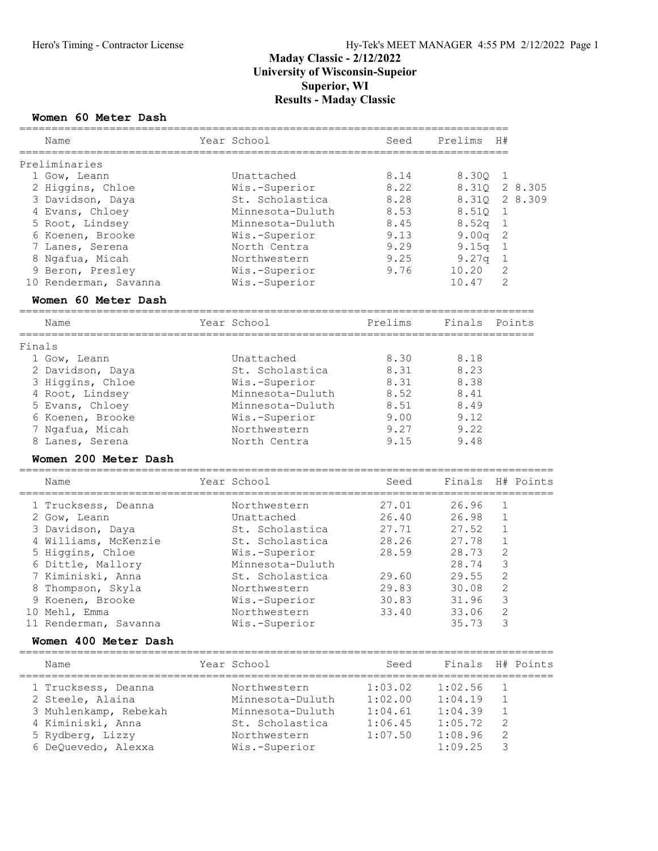## Hero's Timing - Contractor License Hy-Tek's MEET MANAGER 4:55 PM 2/12/2022 Page 1

## Maday Classic - 2/12/2022 University of Wisconsin-Supeior Superior, WI Results - Maday Classic

============================================================================

#### Women 60 Meter Dash

|        | Name                                              | Year School                               | Seed                                     | Prelims | H#             |                  |
|--------|---------------------------------------------------|-------------------------------------------|------------------------------------------|---------|----------------|------------------|
|        | Preliminaries                                     |                                           |                                          |         |                |                  |
|        | 1 Gow, Leann                                      | Unattached                                | 8.14                                     | 8.30Q   | 1              |                  |
|        | 2 Higgins, Chloe                                  | Wis.-Superior                             | 8.22                                     | 8.31Q   |                | 2 8.305          |
|        | 3 Davidson, Daya                                  | St. Scholastica                           | 8.28                                     | 8.31Q   |                | 2 8.309          |
|        | 4 Evans, Chloey                                   | Minnesota-Duluth                          | 8.53                                     | 8.51Q   | 1              |                  |
|        | 5 Root, Lindsey                                   | Minnesota-Duluth                          | 8.45                                     | 8.52q   | $\mathbf 1$    |                  |
|        | 6 Koenen, Brooke                                  | Wis.-Superior                             | 9.13                                     | 9.00q   | $\sqrt{2}$     |                  |
|        |                                                   |                                           | 9.29                                     |         |                |                  |
|        | 7 Lanes, Serena                                   | North Centra                              |                                          | 9.15q   | $\mathbf 1$    |                  |
|        | 8 Ngafua, Micah                                   | Northwestern                              | 9.25                                     | 9.27q   | $\mathbf{1}$   |                  |
|        | 9 Beron, Presley                                  | Wis.-Superior                             | 9.76                                     | 10.20   | 2              |                  |
|        | 10 Renderman, Savanna                             | Wis.-Superior                             |                                          | 10.47   | 2              |                  |
|        | Women 60 Meter Dash                               |                                           |                                          |         |                |                  |
|        | Name                                              | Year School                               | Prelims                                  | Finals  |                | Points           |
| Finals |                                                   |                                           |                                          |         |                |                  |
|        | 1 Gow, Leann                                      | Unattached                                | 8.30                                     | 8.18    |                |                  |
|        | 2 Davidson, Daya                                  | St. Scholastica                           | 8.31                                     | 8.23    |                |                  |
|        | 3 Higgins, Chloe                                  | Wis.-Superior                             | 8.31                                     | 8.38    |                |                  |
|        | 4 Root, Lindsey                                   | Minnesota-Duluth                          | 8.52                                     | 8.41    |                |                  |
|        |                                                   | Minnesota-Duluth                          | 8.51                                     | 8.49    |                |                  |
|        | 5 Evans, Chloey                                   |                                           |                                          | 9.12    |                |                  |
|        | 6 Koenen, Brooke                                  | Wis.-Superior                             | 9.00                                     |         |                |                  |
|        | 7 Ngafua, Micah                                   | Northwestern                              | 9.27                                     | 9.22    |                |                  |
|        | 8 Lanes, Serena                                   | North Centra                              | 9.15                                     | 9.48    |                |                  |
|        | Women 200 Meter Dash                              |                                           |                                          |         |                |                  |
|        | Name<br>---------------------                     | Year School<br>__________________________ | Seed<br>________________________________ | Finals  |                | H# Points        |
|        | 1 Trucksess, Deanna                               | Northwestern                              | 27.01                                    | 26.96   | $\mathbf 1$    |                  |
|        | 2 Gow, Leann                                      | Unattached                                | 26.40                                    | 26.98   | 1              |                  |
|        | 3 Davidson, Daya                                  | St. Scholastica                           | 27.71                                    | 27.52   | 1              |                  |
|        | 4 Williams, McKenzie                              | St. Scholastica                           | 28.26                                    | 27.78   | $\mathbf 1$    |                  |
|        | 5 Higgins, Chloe                                  | Wis.-Superior                             | 28.59                                    | 28.73   | $\mathbf{2}$   |                  |
|        | 6 Dittle, Mallory                                 | Minnesota-Duluth                          |                                          | 28.74   | $\mathfrak{Z}$ |                  |
|        | 7 Kiminiski, Anna                                 | St. Scholastica                           | 29.60                                    | 29.55   | $\overline{c}$ |                  |
|        |                                                   |                                           |                                          |         |                |                  |
|        | 8 Thompson, Skyla                                 | Northwestern                              | 29.83                                    | 30.08   | $\mathbf{2}$   |                  |
|        | 9 Koenen, Brooke                                  | Wis.-Superior                             | 30.83                                    | 31.96   | 3              |                  |
|        | 10 Mehl, Emma                                     | Northwestern                              | 33.40                                    | 33.06   | $\overline{2}$ |                  |
|        | 11 Renderman, Savanna                             | Wis.-Superior                             |                                          | 35.73   | 3              |                  |
|        | Women 400 Meter Dash<br>========================= | =============                             |                                          |         |                |                  |
|        | Name                                              | Year School                               | Seed                                     | Finals  |                | H# Points        |
|        | 1 Trucksess, Deanna                               | Northwestern                              | 1:03.02                                  | 1:02.56 | 1              | ================ |
|        | 2 Steele, Alaina                                  | Minnesota-Duluth                          | 1:02.00                                  | 1:04.19 | $\mathbf 1$    |                  |
|        | 3 Muhlenkamp, Rebekah                             | Minnesota-Duluth                          | 1:04.61                                  | 1:04.39 | 1              |                  |
|        | 4 Kiminiski, Anna                                 | St. Scholastica                           | 1:06.45                                  | 1:05.72 | 2              |                  |
|        |                                                   |                                           |                                          |         | 2              |                  |
|        | 5 Rydberg, Lizzy                                  | Northwestern                              | 1:07.50                                  | 1:08.96 |                |                  |
|        | 6 DeQuevedo, Alexxa                               | Wis.-Superior                             |                                          | 1:09.25 | 3              |                  |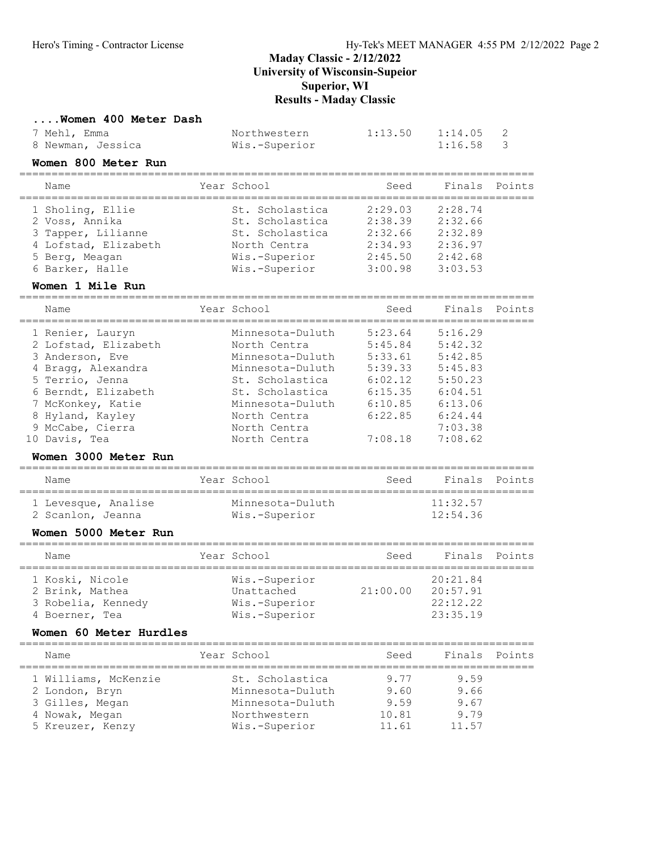#### ....Women 400 Meter Dash

| 7 Mehl, Emma      | Northwestern  | $1:13.50$ $1:14.05$ |  |
|-------------------|---------------|---------------------|--|
| 8 Newman, Jessica | Wis.-Superior | 1:16.58             |  |

### Women 800 Meter Run

| Name                 | Year School     | Seed    | Finals  | Points |
|----------------------|-----------------|---------|---------|--------|
| 1 Sholing, Ellie     | St. Scholastica | 2:29.03 | 2:28.74 |        |
| 2 Voss, Annika       | St. Scholastica | 2:38.39 | 2:32.66 |        |
| 3 Tapper, Lilianne   | St. Scholastica | 2:32.66 | 2:32.89 |        |
| 4 Lofstad, Elizabeth | North Centra    | 2:34.93 | 2:36.97 |        |
| 5 Berg, Meagan       | Wis.-Superior   | 2:45.50 | 2:42.68 |        |
| 6 Barker, Halle      | Wis.-Superior   | 3:00.98 | 3:03.53 |        |
|                      |                 |         |         |        |

# Women 1 Mile Run<br>=====================

| Name                 |  | Seed                                                                                                                                                                                              | Finals  | Points |
|----------------------|--|---------------------------------------------------------------------------------------------------------------------------------------------------------------------------------------------------|---------|--------|
| 1 Renier, Lauryn     |  | 5:23.64                                                                                                                                                                                           | 5:16.29 |        |
| 2 Lofstad, Elizabeth |  | 5:45.84                                                                                                                                                                                           | 5:42.32 |        |
| 3 Anderson, Eve      |  | 5:33.61                                                                                                                                                                                           | 5:42.85 |        |
| 4 Bragg, Alexandra   |  | 5:39.33                                                                                                                                                                                           | 5:45.83 |        |
| 5 Terrio, Jenna      |  | 6:02.12                                                                                                                                                                                           | 5:50.23 |        |
| 6 Berndt, Elizabeth  |  | 6:15.35                                                                                                                                                                                           | 6:04.51 |        |
| 7 McKonkey, Katie    |  | 6:10.85                                                                                                                                                                                           | 6:13.06 |        |
| 8 Hyland, Kayley     |  | 6:22.85                                                                                                                                                                                           | 6:24.44 |        |
| 9 McCabe, Cierra     |  |                                                                                                                                                                                                   | 7:03.38 |        |
| Davis, Tea           |  | 7:08.18                                                                                                                                                                                           | 7:08.62 |        |
|                      |  | Year School<br>Minnesota-Duluth<br>North Centra<br>Minnesota-Duluth<br>Minnesota-Duluth<br>St. Scholastica<br>St. Scholastica<br>Minnesota-Duluth<br>North Centra<br>North Centra<br>North Centra |         |        |

#### Women 3000 Meter Run

| Name                | Year School      | Seed | Finals Points |  |
|---------------------|------------------|------|---------------|--|
| 1 Levesque, Analise | Minnesota-Duluth |      | 11:32.57      |  |
| 2 Scanlon, Jeanna   | Wis.-Superior    |      | 12:54.36      |  |

#### Women 5000 Meter Run

| Name                                                                       | Year School                                                   | Seed     | Finals Points                                |  |
|----------------------------------------------------------------------------|---------------------------------------------------------------|----------|----------------------------------------------|--|
| 1 Koski, Nicole<br>2 Brink, Mathea<br>3 Robelia, Kennedy<br>4 Boerner, Tea | Wis.-Superior<br>Unattached<br>Wis.-Superior<br>Wis.-Superior | 21:00.00 | 20:21.84<br>20:57.91<br>22:12.22<br>23:35.19 |  |

#### Women 60 Meter Hurdles

| Name                 | Year School      | Seed  | Finals | Points |
|----------------------|------------------|-------|--------|--------|
| 1 Williams, McKenzie | St. Scholastica  | 9.77  | 9.59   |        |
| 2 London, Bryn       | Minnesota-Duluth | 9.60  | 9.66   |        |
| 3 Gilles, Megan      | Minnesota-Duluth | 9 59  | 9.67   |        |
| 4 Nowak, Megan       | Northwestern     | 10.81 | 9.79   |        |
| 5 Kreuzer, Kenzy     | Wis.-Superior    | 11.61 | 11.57  |        |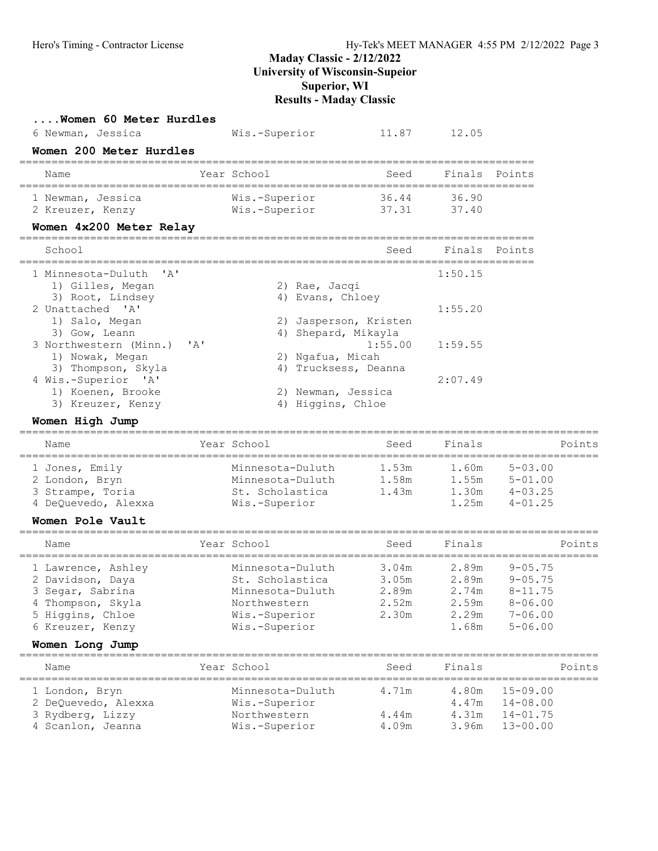| Women 60 Meter Hurdles<br>6 Newman, Jessica                                                                             |              | Wis.-Superior                                                                                                                 | 11.87                   | 12.05                                                   |                                                          |        |
|-------------------------------------------------------------------------------------------------------------------------|--------------|-------------------------------------------------------------------------------------------------------------------------------|-------------------------|---------------------------------------------------------|----------------------------------------------------------|--------|
| Women 200 Meter Hurdles                                                                                                 |              |                                                                                                                               |                         |                                                         |                                                          |        |
| Name                                                                                                                    |              | Year School                                                                                                                   | Seed                    | Finals Points                                           |                                                          |        |
| 1 Newman, Jessica<br>2 Kreuzer, Kenzy<br>Women 4x200 Meter Relay                                                        |              | Wis.-Superior<br>Wis.-Superior                                                                                                | 36.44<br>37.31          | 36.90<br>37.40                                          |                                                          |        |
| School                                                                                                                  |              |                                                                                                                               | Seed                    | Finals Points                                           |                                                          |        |
| ' A'<br>1 Minnesota-Duluth<br>1) Gilles, Megan                                                                          |              | 2) Rae, Jacqi                                                                                                                 |                         | 1:50.15                                                 |                                                          |        |
| 3) Root, Lindsey<br>2 Unattached 'A'<br>1) Salo, Megan<br>3) Gow, Leann                                                 |              | 4) Evans, Chloey<br>4) Shepard, Mikayla                                                                                       | 2) Jasperson, Kristen   | 1:55.20                                                 |                                                          |        |
| 3 Northwestern (Minn.)<br>1) Nowak, Megan                                                                               | $\mathbf{A}$ | 2) Ngafua, Micah                                                                                                              | 1:55.00                 | 1:59.55                                                 |                                                          |        |
| 3) Thompson, Skyla<br>4 Wis.-Superior 'A'<br>1) Koenen, Brooke<br>3) Kreuzer, Kenzy                                     |              | 2) Newman, Jessica<br>4) Higgins, Chloe                                                                                       | 4) Trucksess, Deanna    | 2:07.49                                                 |                                                          |        |
| Women High Jump                                                                                                         |              |                                                                                                                               |                         |                                                         |                                                          |        |
| Name                                                                                                                    |              | Year School                                                                                                                   | Seed                    | Finals                                                  |                                                          | Points |
| 1 Jones, Emily<br>2 London, Bryn<br>3 Strampe, Toria<br>4 DeQuevedo, Alexxa                                             |              | Minnesota-Duluth<br>Minnesota-Duluth<br>St. Scholastica<br>Wis.-Superior                                                      | 1.53m<br>1.58m<br>1.43m | 1.60m<br>1.55m<br>1.30m<br>1.25m                        | $5 - 03.00$<br>$5 - 01.00$<br>$4 - 03.25$<br>$4 - 01.25$ |        |
| Women Pole Vault                                                                                                        |              |                                                                                                                               |                         |                                                         |                                                          |        |
| Name                                                                                                                    |              | Year School                                                                                                                   | Seed                    | Finals                                                  |                                                          | Points |
| 1 Lawrence, Ashley<br>2 Davidson, Daya<br>3 Segar, Sabrina<br>4 Thompson, Skyla<br>5 Higgins, Chloe<br>6 Kreuzer, Kenzy |              | Minnesota-Duluth<br>St. Scholastica<br>Minnesota-Duluth 2.89m 2.74m 8-11.75<br>Northwestern<br>Wis.-Superior<br>Wis.-Superior | 3.05m<br>2.52m<br>2.30m | 3.04m 2.89m 9-05.75<br>2.89m<br>2.59m<br>2.29m<br>1.68m | $9 - 05.75$<br>$8 - 06.00$<br>$7 - 06.00$<br>$5 - 06.00$ |        |
| Women Long Jump                                                                                                         |              |                                                                                                                               |                         |                                                         |                                                          |        |
| Name                                                                                                                    |              | Year School                                                                                                                   | Seed                    | Finals                                                  |                                                          | Points |
| 1 London, Bryn<br>2 DeQuevedo, Alexxa<br>3 Rydberg, Lizzy                                                               |              | Minnesota-Duluth<br>Wis.-Superior<br>Northwestern                                                                             | 4.71m<br>4.44m          | 4.80m<br>4.47m<br>4.31m                                 | $15 - 09.00$<br>$14 - 08.00$<br>$14 - 01.75$             |        |
| 4 Scanlon, Jeanna                                                                                                       |              | Wis.-Superior                                                                                                                 | 4.09m                   | 3.96m                                                   | $13 - 00.00$                                             |        |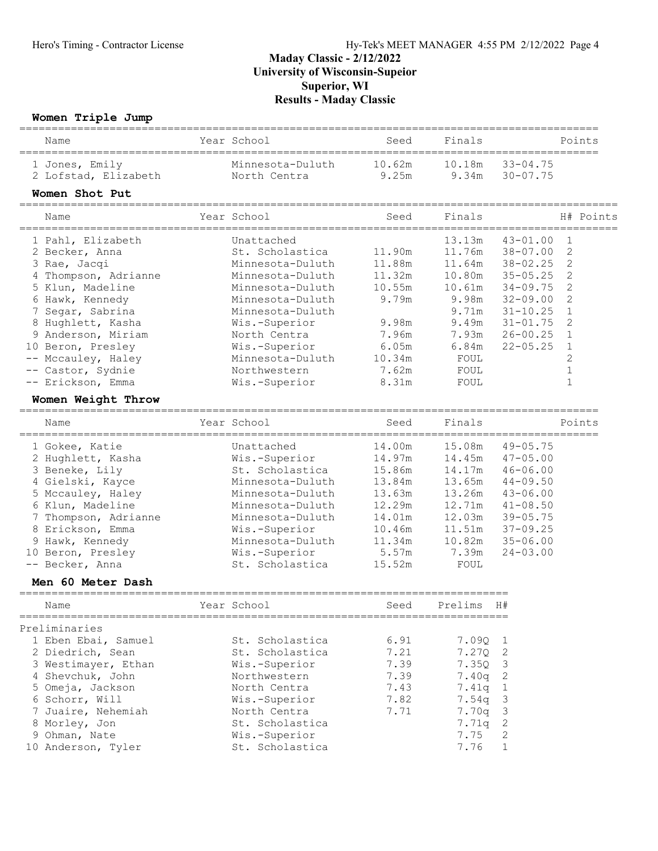#### Women Triple Jump

| women Triple Jump                                                                          |                                                                                   |                                         |                                          |                       |              |
|--------------------------------------------------------------------------------------------|-----------------------------------------------------------------------------------|-----------------------------------------|------------------------------------------|-----------------------|--------------|
| Name                                                                                       | Year School                                                                       | Seed                                    | Finals                                   |                       | Points       |
| 1 Jones, Emily                                                                             | Minnesota-Duluth                                                                  | 10.62m                                  | 10.18m                                   | $33 - 04.75$          |              |
| 2 Lofstad, Elizabeth                                                                       | North Centra                                                                      | 9.25m                                   | 9.34m                                    | $30 - 07.75$          |              |
| Women Shot Put                                                                             |                                                                                   |                                         |                                          |                       |              |
| Name                                                                                       | Year School                                                                       | Seed                                    | Finals                                   |                       | H# Points    |
| 1 Pahl, Elizabeth                                                                          | Unattached                                                                        |                                         | 13.13m                                   | $43 - 01.00$          | 1            |
| 2 Becker, Anna                                                                             | St. Scholastica                                                                   | 11.90m                                  | 11.76m                                   | $38 - 07.00$          | 2            |
| 3 Rae, Jacqi                                                                               | Minnesota-Duluth                                                                  | 11.88m                                  | 11.64m                                   | $38 - 02.25$          | $\mathbf{2}$ |
| 4 Thompson, Adrianne                                                                       | Minnesota-Duluth                                                                  | 11.32m                                  | 10.80m                                   | $35 - 05.25$          | 2            |
| 5 Klun, Madeline                                                                           | Minnesota-Duluth                                                                  | 10.55m                                  | 10.61m                                   | $34 - 09.75$          | 2            |
| 6 Hawk, Kennedy                                                                            | Minnesota-Duluth                                                                  | 9.79m                                   | 9.98m                                    | $32 - 09.00$          | 2            |
| Segar, Sabrina                                                                             | Minnesota-Duluth                                                                  |                                         | 9.71m                                    | $31 - 10.25$          | $\mathbf 1$  |
| 8 Hughlett, Kasha                                                                          | Wis.-Superior                                                                     | 9.98m                                   | 9.49m                                    | $31 - 01.75$          | 2            |
| 9 Anderson, Miriam                                                                         | North Centra                                                                      | 7.96m                                   | 7.93m                                    | $26 - 00.25$          | $\mathbf{1}$ |
| 10 Beron, Presley                                                                          | Wis.-Superior                                                                     | 6.05m                                   | 6.84m                                    | $22 - 05.25$          | 1            |
| Mccauley, Haley                                                                            | Minnesota-Duluth                                                                  | 10.34m                                  | FOUL                                     |                       | 2            |
| Castor, Sydnie                                                                             | Northwestern                                                                      | 7.62m                                   | FOUL                                     |                       | $\mathbf 1$  |
| -- Erickson, Emma                                                                          | Wis.-Superior                                                                     | 8.31m                                   | FOUL                                     |                       | $\mathbf{1}$ |
| Women Weight Throw                                                                         |                                                                                   |                                         |                                          |                       |              |
| Name                                                                                       | Year School                                                                       | Seed                                    | Finals                                   |                       | Points       |
| 1 Gokee, Katie                                                                             | Unattached                                                                        | 14.00m                                  | 15.08m                                   | $49 - 05.75$          |              |
| 2 Hughlett, Kasha                                                                          | Wis.-Superior                                                                     | 14.97m                                  | 14.45m                                   | $47 - 05.00$          |              |
| 3 Beneke, Lily                                                                             | St. Scholastica                                                                   | 15.86m                                  | 14.17m                                   | $46 - 06.00$          |              |
| 4 Gielski, Kayce                                                                           | Minnesota-Duluth                                                                  | 13.84m                                  | 13.65m                                   | $44 - 09.50$          |              |
| 5 Mccauley, Haley                                                                          | Minnesota-Duluth                                                                  | 13.63m                                  | 13.26m                                   | $43 - 06.00$          |              |
| 6 Klun, Madeline                                                                           | Minnesota-Duluth                                                                  | 12.29m                                  | 12.71m                                   | $41 - 08.50$          |              |
| Thompson, Adrianne                                                                         | Minnesota-Duluth                                                                  | 14.01m                                  | 12.03m                                   | $39 - 05.75$          |              |
| 8 Erickson, Emma                                                                           | Wis.-Superior                                                                     | 10.46m                                  | 11.51m                                   | $37 - 09.25$          |              |
| 9 Hawk, Kennedy                                                                            | Minnesota-Duluth                                                                  | 11.34m                                  | 10.82m                                   | $35 - 06.00$          |              |
| Beron, Presley<br>10                                                                       | Wis.-Superior                                                                     | 5.57m                                   | 7.39m                                    | $24 - 03.00$          |              |
| Becker, Anna<br>$--$                                                                       | St. Scholastica                                                                   | 15.52m                                  | FOUL                                     |                       |              |
| Men 60 Meter Dash                                                                          |                                                                                   |                                         |                                          |                       |              |
| ===============<br>Name                                                                    | Year School                                                                       | ===============================<br>Seed | Prelims                                  | H#                    |              |
|                                                                                            |                                                                                   |                                         |                                          |                       |              |
| Preliminaries<br>1 Eben Ebai, Samuel                                                       | St. Scholastica                                                                   | 6.91                                    |                                          |                       |              |
| 2 Diedrich, Sean                                                                           | St. Scholastica                                                                   | 7.21                                    | 7.09Q<br>7.27Q                           | ı<br>2                |              |
|                                                                                            |                                                                                   | 7.39                                    | 7.35Q                                    | 3                     |              |
| 3 Westimayer, Ethan                                                                        | Wis.-Superior                                                                     |                                         |                                          | 2                     |              |
| 4 Shevchuk, John                                                                           | Northwestern                                                                      | 7.39                                    | 7.40q                                    |                       |              |
|                                                                                            |                                                                                   |                                         |                                          |                       |              |
|                                                                                            |                                                                                   |                                         |                                          |                       |              |
|                                                                                            |                                                                                   |                                         |                                          |                       |              |
|                                                                                            |                                                                                   |                                         |                                          |                       |              |
| 5 Omeja, Jackson<br>6 Schorr, Will<br>7 Juaire, Nehemiah<br>8 Morley, Jon<br>9 Ohman, Nate | North Centra<br>Wis.-Superior<br>North Centra<br>St. Scholastica<br>Wis.-Superior | 7.43<br>7.82<br>7.71                    | 7.41q<br>7.54q<br>7.70q<br>7.71q<br>7.75 | 1<br>3<br>3<br>2<br>2 |              |

10 Anderson, Tyler St. Scholastica 31.76 1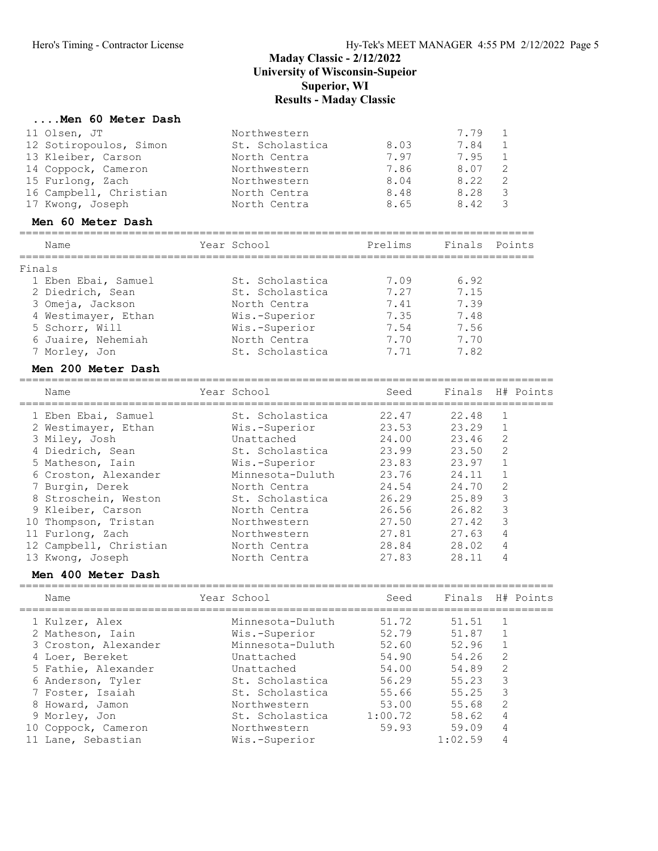### ....Men 60 Meter Dash

| 11 Olsen, JT<br>12 Sotiropoulos, Simon<br>13 Kleiber, Carson<br>14 Coppock, Cameron<br>15 Furlong, Zach<br>16 Campbell, Christian<br>17 Kwong, Joseph | Northwestern<br>St. Scholastica<br>North Centra<br>Northwestern<br>Northwestern<br>North Centra<br>North Centra | 8.03<br>7.97<br>7.86<br>8.04<br>8.48<br>8.65       | 7.79<br>7.84<br>7.95<br>8.07<br>8.22<br>8.28<br>8.42 | 1<br>$\mathbf 1$<br>$\mathbf 1$<br>$\mathbf{2}$<br>$\mathbf{2}$<br>3<br>3       |           |
|-------------------------------------------------------------------------------------------------------------------------------------------------------|-----------------------------------------------------------------------------------------------------------------|----------------------------------------------------|------------------------------------------------------|---------------------------------------------------------------------------------|-----------|
| Men 60 Meter Dash                                                                                                                                     |                                                                                                                 |                                                    |                                                      |                                                                                 |           |
| Name<br>======================                                                                                                                        | Year School                                                                                                     | Prelims                                            | Finals                                               |                                                                                 | Points    |
| Finals<br>1 Eben Ebai, Samuel<br>2 Diedrich, Sean<br>3 Omeja, Jackson<br>4 Westimayer, Ethan                                                          | St. Scholastica<br>St. Scholastica<br>North Centra<br>Wis.-Superior                                             | 7.09<br>7.27<br>7.41<br>7.35                       | 6.92<br>7.15<br>7.39<br>7.48                         |                                                                                 |           |
| 5 Schorr, Will<br>6 Juaire, Nehemiah<br>7 Morley, Jon<br>Men 200 Meter Dash                                                                           | Wis.-Superior<br>North Centra<br>St. Scholastica                                                                | 7.54<br>7.70<br>7.71                               | 7.56<br>7.70<br>7.82                                 |                                                                                 |           |
| Name                                                                                                                                                  | Year School                                                                                                     | Seed                                               | Finals                                               |                                                                                 | H# Points |
|                                                                                                                                                       |                                                                                                                 | ------------------                                 | _________<br>22.48                                   |                                                                                 |           |
| 1 Eben Ebai, Samuel<br>2 Westimayer, Ethan<br>3 Miley, Josh<br>4 Diedrich, Sean<br>5 Matheson, Iain<br>6 Croston, Alexander                           | St. Scholastica<br>Wis.-Superior<br>Unattached<br>St. Scholastica<br>Wis.-Superior<br>Minnesota-Duluth          | 22.47<br>23.53<br>24.00<br>23.99<br>23.83<br>23.76 | 23.29<br>23.46<br>23.50<br>23.97<br>24.11            | 1<br>1<br>$\mathbf{2}$<br>$\mathbf{2}$<br>$\mathbf 1$<br>$\mathbf 1$            |           |
| 7 Burgin, Derek<br>8 Stroschein, Weston<br>9 Kleiber, Carson<br>10 Thompson, Tristan                                                                  | North Centra<br>St. Scholastica<br>North Centra<br>Northwestern                                                 | 24.54<br>26.29<br>26.56<br>27.50                   | 24.70<br>25.89<br>26.82<br>27.42                     | $\mathbf{2}$<br>3<br>$\mathcal{S}$<br>3                                         |           |
| 11 Furlong, Zach<br>12 Campbell, Christian<br>13 Kwong, Joseph<br>Men 400 Meter Dash                                                                  | Northwestern<br>North Centra<br>North Centra                                                                    | 27.81<br>28.84<br>27.83                            | 27.63<br>28.02<br>28.11                              | 4<br>4<br>4                                                                     |           |
| Name                                                                                                                                                  | Year School                                                                                                     | =================<br>Seed                          | Finals                                               |                                                                                 | H# Points |
| 1 Kulzer, Alex                                                                                                                                        | Minnesota-Duluth                                                                                                | 51.72                                              | 51.51                                                | 1                                                                               |           |
| 2 Matheson, Iain<br>3 Croston, Alexander<br>4 Loer, Bereket<br>5 Fathie, Alexander<br>6 Anderson, Tyler<br>7 Foster, Isaiah                           | Wis.-Superior<br>Minnesota-Duluth<br>Unattached<br>Unattached<br>St. Scholastica<br>St. Scholastica             | 52.79<br>52.60<br>54.90<br>54.00<br>56.29<br>55.66 | 51.87<br>52.96<br>54.26<br>54.89<br>55.23<br>55.25   | $\mathbf 1$<br>$\mathbf 1$<br>$\mathbf{2}$<br>$\sqrt{2}$<br>$\mathfrak{Z}$<br>3 |           |
| 8 Howard, Jamon<br>9 Morley, Jon<br>10 Coppock, Cameron<br>11 Lane, Sebastian                                                                         | Northwestern<br>St. Scholastica<br>Northwestern<br>Wis.-Superior                                                | 53.00<br>1:00.72<br>59.93                          | 55.68<br>58.62<br>59.09<br>1:02.59                   | $\mathbf{2}$<br>$\sqrt{4}$<br>$\overline{4}$<br>4                               |           |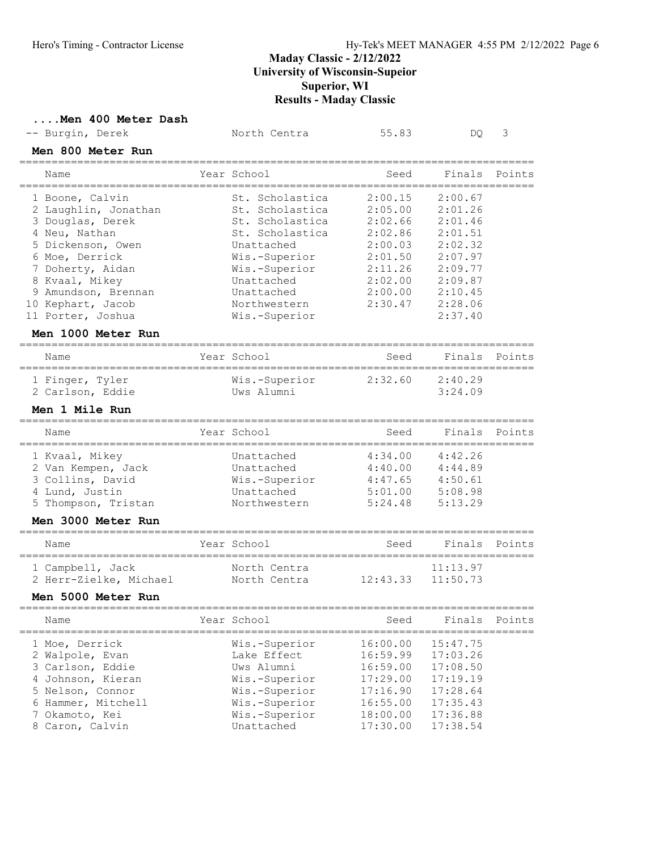#### ....Men 400 Meter Dash

| -- Burgin, Derek |  | North Centra | 55.83 |  |
|------------------|--|--------------|-------|--|

| Men 800 Meter Run                                                                                                                                                                                                          |                                                                                                                                                                                       |                                                                                                                                       |                                                                                                                       |        |
|----------------------------------------------------------------------------------------------------------------------------------------------------------------------------------------------------------------------------|---------------------------------------------------------------------------------------------------------------------------------------------------------------------------------------|---------------------------------------------------------------------------------------------------------------------------------------|-----------------------------------------------------------------------------------------------------------------------|--------|
| ===========================<br>Name                                                                                                                                                                                        | ======================<br>Year School                                                                                                                                                 | Seed                                                                                                                                  | Finals                                                                                                                | Points |
| 1 Boone, Calvin<br>2 Laughlin, Jonathan<br>3 Douglas, Derek<br>4 Neu, Nathan<br>5 Dickenson, Owen<br>6 Moe, Derrick<br>7 Doherty, Aidan<br>8 Kvaal, Mikey<br>9 Amundson, Brennan<br>10 Kephart, Jacob<br>11 Porter, Joshua | St. Scholastica<br>St. Scholastica<br>St. Scholastica<br>St. Scholastica<br>Unattached<br>Wis.-Superior<br>Wis.-Superior<br>Unattached<br>Unattached<br>Northwestern<br>Wis.-Superior | ;======================<br>2:00.15<br>2:05.00<br>2:02.66<br>2:02.86<br>2:00.03<br>2:01.50<br>2:11.26<br>2:02.00<br>2:00.00<br>2:30.47 | 2:00.67<br>2:01.26<br>2:01.46<br>2:01.51<br>2:02.32<br>2:07.97<br>2:09.77<br>2:09.87<br>2:10.45<br>2:28.06<br>2:37.40 |        |
| Men 1000 Meter Run<br>========================                                                                                                                                                                             |                                                                                                                                                                                       | ----------------------------------                                                                                                    |                                                                                                                       |        |
| Name                                                                                                                                                                                                                       | Year School                                                                                                                                                                           | Seed                                                                                                                                  | Finals                                                                                                                | Points |
| 1 Finger, Tyler<br>2 Carlson, Eddie                                                                                                                                                                                        | Wis.-Superior<br>Uws Alumni                                                                                                                                                           | 2:32.60                                                                                                                               | 2:40.29<br>3:24.09                                                                                                    |        |
| <b>Men 1 Mile Run</b>                                                                                                                                                                                                      |                                                                                                                                                                                       |                                                                                                                                       |                                                                                                                       |        |
| Name                                                                                                                                                                                                                       | Year School                                                                                                                                                                           | Seed                                                                                                                                  | Finals                                                                                                                | Points |
| 1 Kvaal, Mikey<br>2 Van Kempen, Jack<br>3 Collins, David<br>4 Lund, Justin<br>5 Thompson, Tristan                                                                                                                          | Unattached<br>Unattached<br>Wis.-Superior<br>Unattached<br>Northwestern                                                                                                               | 4:34.00<br>4:40.00<br>4:47.65<br>5:01.00<br>5:24.48                                                                                   | 4:42.26<br>4:44.89<br>4:50.61<br>5:08.98<br>5:13.29                                                                   |        |
| Men 3000 Meter Run<br>=========================                                                                                                                                                                            |                                                                                                                                                                                       |                                                                                                                                       |                                                                                                                       |        |
| Name                                                                                                                                                                                                                       | Year School                                                                                                                                                                           | Seed                                                                                                                                  | Finals                                                                                                                | Points |
| 1 Campbell, Jack<br>2 Herr-Zielke, Michael                                                                                                                                                                                 | North Centra<br>North Centra                                                                                                                                                          | 12:43.33                                                                                                                              | 11:13.97<br>11:50.73                                                                                                  |        |
| Men 5000 Meter Run<br>=========================                                                                                                                                                                            | =================                                                                                                                                                                     |                                                                                                                                       |                                                                                                                       |        |
| Name                                                                                                                                                                                                                       | Year School                                                                                                                                                                           | Seed                                                                                                                                  | Finals Points                                                                                                         |        |
| 1 Moe, Derrick<br>2 Walpole, Evan<br>3 Carlson, Eddie<br>4 Johnson, Kieran<br>5 Nelson, Connor<br>6 Hammer, Mitchell<br>7 Okamoto, Kei<br>8 Caron, Calvin                                                                  | Wis.-Superior<br>Lake Effect<br>Uws Alumni<br>Wis.-Superior<br>Wis.-Superior<br>Wis.-Superior<br>Wis.-Superior<br>Unattached                                                          | 16:00.00<br>16:59.99<br>16:59.00<br>17:29.00<br>17:16.90<br>16:55.00<br>18:00.00<br>17:30.00                                          | 15:47.75<br>17:03.26<br>17:08.50<br>17:19.19<br>17:28.64<br>17:35.43<br>17:36.88<br>17:38.54                          |        |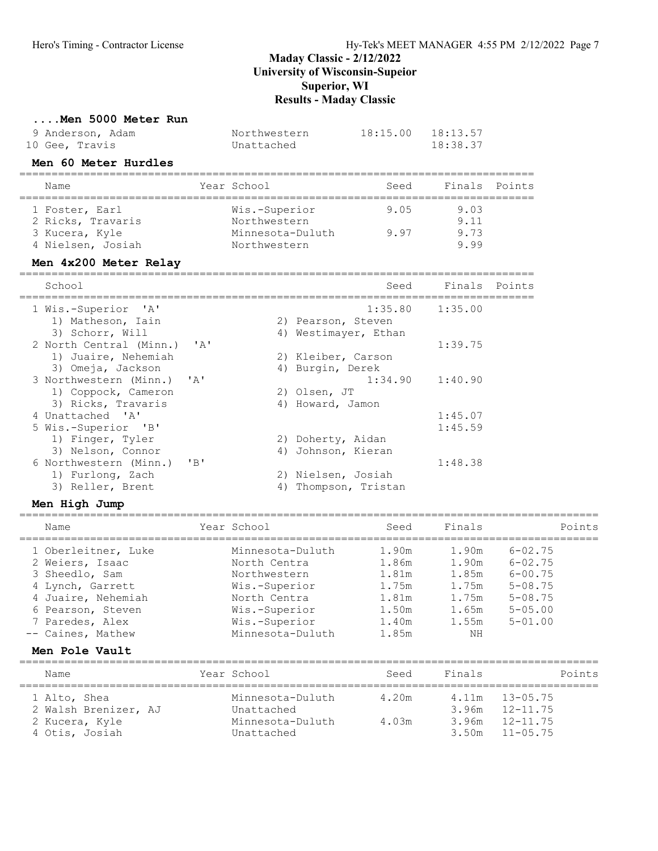# ....Men 5000 Meter Run<br>9 Anderson. Adam

| 9 Anderson, Adam | Northwestern | $18:15.00$ $18:13.57$ |
|------------------|--------------|-----------------------|
| 10 Gee, Travis   | Unattached   | 18:38.37              |

### Men 60 Meter Hurdles

| Name                                | Year School                   | Seed | Finals Points |  |
|-------------------------------------|-------------------------------|------|---------------|--|
| 1 Foster, Earl<br>2 Ricks, Travaris | Wis.-Superior<br>Northwestern | 9.05 | 9.03<br>9.11  |  |
| 3 Kucera, Kyle                      | Minnesota-Duluth              | 997  | 9.73          |  |
| 4 Nielsen, Josiah                   | Northwestern                  |      | 999           |  |

#### Men 4x200 Meter Relay

| School                     |              |    | Seed                 | Finals Points |  |
|----------------------------|--------------|----|----------------------|---------------|--|
| 1 Wis.-Superior 'A'        |              |    | 1:35.80              | 1:35.00       |  |
| 1) Matheson, Iain          |              |    | 2) Pearson, Steven   |               |  |
| 3) Schorr, Will            |              |    | 4) Westimayer, Ethan |               |  |
| 2 North Central (Minn.)    | $\mathbf{A}$ |    |                      | 1:39.75       |  |
| 1) Juaire, Nehemiah        |              |    | 2) Kleiber, Carson   |               |  |
| 3) Omeja, Jackson          |              |    | 4) Burgin, Derek     |               |  |
| 3 Northwestern (Minn.) 'A' |              |    | 1:34.90              | 1:40.90       |  |
| 1) Coppock, Cameron        |              |    | 2) Olsen, JT         |               |  |
| 3) Ricks, Travaris         |              | 4) | Howard, Jamon        |               |  |
| 4 Unattached 'A'           |              |    |                      | 1:45.07       |  |
| 5 Wis.-Superior 'B'        |              |    |                      | 1:45.59       |  |
| 1) Finger, Tyler           |              |    | 2) Doherty, Aidan    |               |  |
| 3) Nelson, Connor          |              | 4) | Johnson, Kieran      |               |  |
| 6 Northwestern (Minn.)     | $'$ B $'$    |    |                      | 1:48.38       |  |
| 1) Furlong, Zach           |              |    | 2) Nielsen, Josiah   |               |  |
| 3) Reller, Brent           |              | 4) | Thompson, Tristan    |               |  |
|                            |              |    |                      |               |  |

#### Men High Jump

| Name                                                                                                                                                            | Year School                                                                                                                             | Seed                                                                 | Finals                                                            | Points                                                                                                   |
|-----------------------------------------------------------------------------------------------------------------------------------------------------------------|-----------------------------------------------------------------------------------------------------------------------------------------|----------------------------------------------------------------------|-------------------------------------------------------------------|----------------------------------------------------------------------------------------------------------|
| 1 Oberleitner, Luke<br>2 Weiers, Isaac<br>3 Sheedlo, Sam<br>4 Lynch, Garrett<br>4 Juaire, Nehemiah<br>6 Pearson, Steven<br>7 Paredes, Alex<br>-- Caines, Mathew | Minnesota-Duluth<br>North Centra<br>Northwestern<br>Wis.-Superior<br>North Centra<br>Wis.-Superior<br>Wis.-Superior<br>Minnesota-Duluth | 1.90m<br>1.86m<br>1.81m<br>1.75m<br>1.81m<br>1.50m<br>1.40m<br>1.85m | 1.90m<br>1.90m<br>1.85m<br>1.75m<br>1.75m<br>1.65m<br>1.55m<br>NΗ | $6 - 02.75$<br>$6 - 02.75$<br>$6 - 00.75$<br>$5 - 08.75$<br>$5 - 08.75$<br>$5 - 0.5$ , 00<br>$5 - 01.00$ |
|                                                                                                                                                                 |                                                                                                                                         |                                                                      |                                                                   |                                                                                                          |

#### Men Pole Vault

| Name                                                                     | Year School                                                      | Seed           | Finals                  | Points                                                               |
|--------------------------------------------------------------------------|------------------------------------------------------------------|----------------|-------------------------|----------------------------------------------------------------------|
| 1 Alto, Shea<br>2 Walsh Brenizer, AJ<br>2 Kucera, Kyle<br>4 Otis, Josiah | Minnesota-Duluth<br>Unattached<br>Minnesota-Duluth<br>Unattached | 4.20m<br>4.03m | 4.11m<br>3.96m<br>3.50m | $13 - 05.75$<br>$3.96m$ $12-11.75$<br>$12 - 11$ . 75<br>$11 - 05.75$ |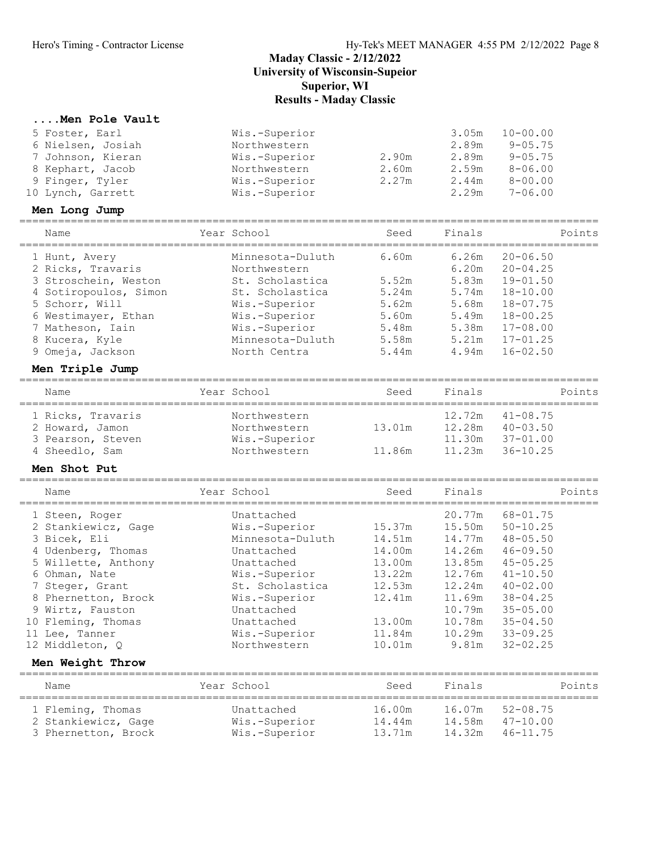## Maday Classic - 2/12/2022

University of Wisconsin-Supeior

Superior, WI

## Results - Maday Classic

## ....Men Pole Vault

| 5 Foster, Earl    | Wis.-Superior |       | 3.05m | $10 - 00.00$ |
|-------------------|---------------|-------|-------|--------------|
| 6 Nielsen, Josiah | Northwestern  |       | 2.89m | $9 - 05.75$  |
| 7 Johnson, Kieran | Wis.-Superior | 2.90m | 2.89m | $9 - 05.75$  |
| 8 Kephart, Jacob  | Northwestern  | 2.60m | 2.59m | $8 - 06.00$  |
| 9 Finger, Tyler   | Wis.-Superior | 2.27m | 2.44m | $8 - 00.00$  |
| 10 Lynch, Garrett | Wis.-Superior |       | 2.29m | $7 - 06.00$  |

#### Men Long Jump

| Year School<br>Name                      | Seed  | Finals | Points       |
|------------------------------------------|-------|--------|--------------|
| Minnesota-Duluth<br>1 Hunt, Avery        | 6.60m | 6.26m  | $20 - 06.50$ |
| 2 Ricks, Travaris<br>Northwestern        |       | 6.20m  | $20 - 04.25$ |
| 3 Stroschein, Weston<br>St. Scholastica  | 5.52m | 5.83m  | $19 - 01.50$ |
| 4 Sotiropoulos, Simon<br>St. Scholastica | 5.24m | 5.74m  | $18 - 10.00$ |
| 5 Schorr, Will<br>Wis.-Superior          | 5.62m | 5.68m  | $18 - 07.75$ |
| Wis.-Superior<br>6 Westimayer, Ethan     | 5.60m | 5.49m  | $18 - 00.25$ |
| Wis.-Superior<br>7 Matheson, Iain        | 5.48m | 5.38m  | $17 - 08.00$ |
| Minnesota-Duluth<br>8 Kucera, Kyle       | 5.58m | 5.21m  | $17 - 01.25$ |
| 9 Omeja, Jackson<br>North Centra         | 5.44m | 4.94m  | $16 - 02.50$ |

#### Men Triple Jump

| Name              | Year School   | Seed   | Finals | Points       |
|-------------------|---------------|--------|--------|--------------|
| 1 Ricks, Travaris | Northwestern  |        | 12.72m | $41 - 08.75$ |
| 2 Howard, Jamon   | Northwestern  | 13.01m | 12.28m | $40 - 03.50$ |
| 3 Pearson, Steven | Wis.-Superior |        | 11.30m | $37 - 01.00$ |
| 4 Sheedlo, Sam    | Northwestern  | 11.86m | 11.23m | $36 - 10.25$ |

#### Men Shot Put

| Name                | Year School                                                                                                    | Seed                                                                                              | Finals | Points       |
|---------------------|----------------------------------------------------------------------------------------------------------------|---------------------------------------------------------------------------------------------------|--------|--------------|
| 1 Steen, Roger      | Unattached                                                                                                     |                                                                                                   | 20.77m | $68 - 01.75$ |
| 2 Stankiewicz, Gage | Wis.-Superior                                                                                                  | 15.37m                                                                                            | 15.50m | $50 - 10.25$ |
| 3 Bicek, Eli        | Minnesota-Duluth                                                                                               | 14.51m                                                                                            | 14.77m | $48 - 05.50$ |
| 4 Udenberg, Thomas  | Unattached                                                                                                     | 14.00m                                                                                            | 14.26m | $46 - 09.50$ |
| 5 Willette, Anthony | Unattached                                                                                                     | 13.00m                                                                                            | 13.85m | $45 - 05.25$ |
| 6 Ohman, Nate       | Wis.-Superior                                                                                                  | 13.22m                                                                                            | 12.76m | $41 - 10.50$ |
| 7 Steger, Grant     | St. Scholastica                                                                                                | 12.53m                                                                                            | 12.24m | $40 - 02.00$ |
| 8 Phernetton, Brock | Wis.-Superior                                                                                                  | 12.41m                                                                                            | 11.69m | $38 - 04.25$ |
| 9 Wirtz, Fauston    | Unattached                                                                                                     |                                                                                                   | 10.79m | $35 - 05.00$ |
| 10 Fleming, Thomas  | Unattached                                                                                                     | 13.00m                                                                                            | 10.78m | $35 - 04.50$ |
| 11 Lee, Tanner      | Wis.-Superior                                                                                                  | 11.84m                                                                                            | 10.29m | $33 - 09.25$ |
| 12 Middleton, O     | Northwestern                                                                                                   | 10.01m                                                                                            | 9.81m  | $32 - 02.25$ |
| Men Weight Throw    |                                                                                                                |                                                                                                   |        |              |
| Name                | Year School                                                                                                    | Seed                                                                                              | Finals | Points       |
|                     | 1000 Google 2010 Contract Annual Contract Annual Contract Annual Contract Annual Contract Annual Contract Annu | المستحدث المستحدث والمستحدث والمستحدث والمستحدث والمستحدث والمستحدث والمستحدث والمستحدث والمستحدث |        |              |

| 1 Fleming, Thomas   | Unattached    | 16.00m | 16.07m 52-08.75     |
|---------------------|---------------|--------|---------------------|
| 2 Stankiewicz, Gage | Wis.-Superior | 14.44m | $14.58m$ $47-10.00$ |
| 3 Phernetton, Brock | Wis.-Superior | 13.71m | 14.32m 46-11.75     |